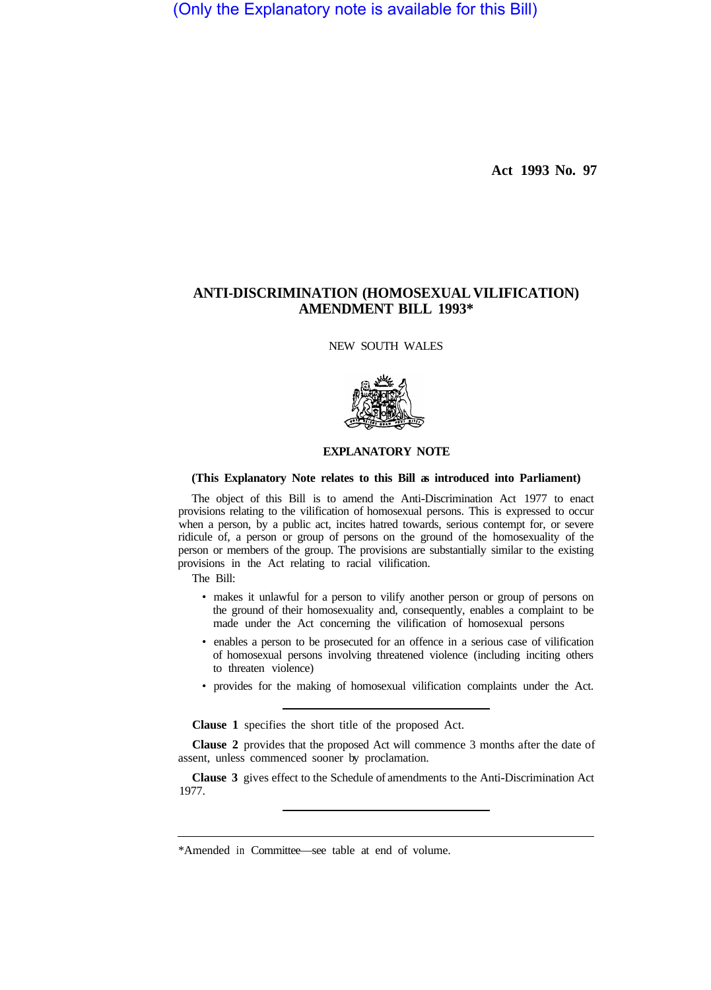(Only the Explanatory note is available for this Bill)

**Act 1993 No. 97** 

## **ANTI-DISCRIMINATION (HOMOSEXUAL VILIFICATION) AMENDMENT BILL 1993\***

NEW SOUTH WALES



## **EXPLANATORY NOTE**

## **(This Explanatory Note relates to this Bill as introduced into Parliament)**

The object of this Bill is to amend the Anti-Discrimination Act 1977 to enact provisions relating to the vilification of homosexual persons. This is expressed to occur when a person, by a public act, incites hatred towards, serious contempt for, or severe ridicule of, a person or group of persons on the ground of the homosexuality of the person or members of the group. The provisions are substantially similar to the existing provisions in the Act relating to racial vilification.

The Bill:

- makes it unlawful for a person to vilify another person or group of persons on the ground of their homosexuality and, consequently, enables a complaint to be made under the Act concerning the vilification of homosexual persons
- enables a person to be prosecuted for an offence in a serious case of vilification of homosexual persons involving threatened violence (including inciting others to threaten violence)
- provides for the making of homosexual vilification complaints under the Act.

**Clause 1** specifies the short title of the proposed Act.

**Clause 2** provides that the proposed Act will commence 3 months after the date of assent, unless commenced sooner by proclamation.

**Clause 3** gives effect to the Schedule of amendments to the Anti-Discrimination Act 1977.

<sup>\*</sup>Amended in Committee—see table at end of volume.